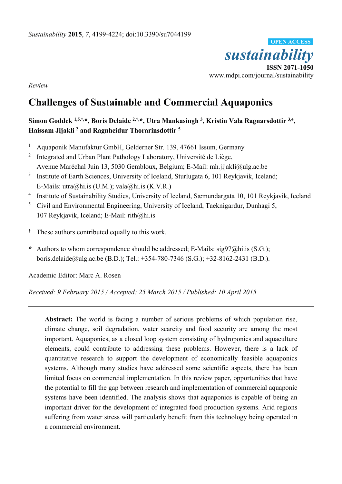

*Review* 

# **Challenges of Sustainable and Commercial Aquaponics**

**Simon Goddek 1,5,†,\*, Boris Delaide 2,†,\*, Utra Mankasingh 3, Kristin Vala Ragnarsdottir 3,4, Haissam Jijakli 2 and Ragnheidur Thorarinsdottir 5**

- 1 Aquaponik Manufaktur GmbH, Gelderner Str. 139, 47661 Issum, Germany
- <sup>2</sup> Integrated and Urban Plant Pathology Laboratory, Université de Liège, Avenue Maréchal Juin 13, 5030 Gembloux, Belgium; E-Mail: mh.jijakli@ulg.ac.be
- <sup>3</sup> Institute of Earth Sciences, University of Iceland, Sturlugata 6, 101 Reykjavik, Iceland; E-Mails:  $utra@hi.is (U.M.); vala@hi.is (K.V.R.)$
- 4 Institute of Sustainability Studies, University of Iceland, Sæmundargata 10, 101 Reykjavik, Iceland
- 5 Civil and Environmental Engineering, University of Iceland, Taeknigardur, Dunhagi 5, 107 Reykjavik, Iceland; E-Mail: rith@hi.is
- **†** These authors contributed equally to this work.
- **\*** Authors to whom correspondence should be addressed; E-Mails: sig97@hi.is (S.G.); boris.delaide@ulg.ac.be (B.D.); Tel.: +354-780-7346 (S.G.); +32-8162-2431 (B.D.).

Academic Editor: Marc A. Rosen

*Received: 9 February 2015 / Accepted: 25 March 2015 / Published: 10 April 2015* 

**Abstract:** The world is facing a number of serious problems of which population rise, climate change, soil degradation, water scarcity and food security are among the most important. Aquaponics, as a closed loop system consisting of hydroponics and aquaculture elements, could contribute to addressing these problems. However, there is a lack of quantitative research to support the development of economically feasible aquaponics systems. Although many studies have addressed some scientific aspects, there has been limited focus on commercial implementation. In this review paper, opportunities that have the potential to fill the gap between research and implementation of commercial aquaponic systems have been identified. The analysis shows that aquaponics is capable of being an important driver for the development of integrated food production systems. Arid regions suffering from water stress will particularly benefit from this technology being operated in a commercial environment.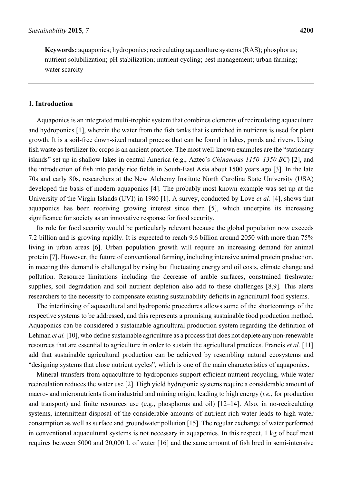**Keywords:** aquaponics; hydroponics; recirculating aquaculture systems (RAS); phosphorus; nutrient solubilization; pH stabilization; nutrient cycling; pest management; urban farming; water scarcity

# **1. Introduction**

Aquaponics is an integrated multi-trophic system that combines elements of recirculating aquaculture and hydroponics [1], wherein the water from the fish tanks that is enriched in nutrients is used for plant growth. It is a soil-free down-sized natural process that can be found in lakes, ponds and rivers. Using fish waste as fertilizer for crops is an ancient practice. The most well-known examples are the "stationary islands" set up in shallow lakes in central America (e.g., Aztec's *Chinampas 1150–1350 BC*) [2], and the introduction of fish into paddy rice fields in South-East Asia about 1500 years ago [3]. In the late 70s and early 80s, researchers at the New Alchemy Institute North Carolina State University (USA) developed the basis of modern aquaponics [4]. The probably most known example was set up at the University of the Virgin Islands (UVI) in 1980 [1]. A survey, conducted by Love *et al.* [4], shows that aquaponics has been receiving growing interest since then [5], which underpins its increasing significance for society as an innovative response for food security.

Its role for food security would be particularly relevant because the global population now exceeds 7.2 billion and is growing rapidly. It is expected to reach 9.6 billion around 2050 with more than 75% living in urban areas [6]. Urban population growth will require an increasing demand for animal protein [7]. However, the future of conventional farming, including intensive animal protein production, in meeting this demand is challenged by rising but fluctuating energy and oil costs, climate change and pollution. Resource limitations including the decrease of arable surfaces, constrained freshwater supplies, soil degradation and soil nutrient depletion also add to these challenges [8,9]. This alerts researchers to the necessity to compensate existing sustainability deficits in agricultural food systems.

The interlinking of aquacultural and hydroponic procedures allows some of the shortcomings of the respective systems to be addressed, and this represents a promising sustainable food production method. Aquaponics can be considered a sustainable agricultural production system regarding the definition of Lehman *et al.* [10], who define sustainable agriculture as a process that does not deplete any non-renewable resources that are essential to agriculture in order to sustain the agricultural practices. Francis *et al.* [11] add that sustainable agricultural production can be achieved by resembling natural ecosystems and "designing systems that close nutrient cycles", which is one of the main characteristics of aquaponics.

Mineral transfers from aquaculture to hydroponics support efficient nutrient recycling, while water recirculation reduces the water use [2]. High yield hydroponic systems require a considerable amount of macro- and micronutrients from industrial and mining origin, leading to high energy (*i.e.*, for production and transport) and finite resources use (e.g., phosphorus and oil) [12–14]. Also, in no-recirculating systems, intermittent disposal of the considerable amounts of nutrient rich water leads to high water consumption as well as surface and groundwater pollution [15]. The regular exchange of water performed in conventional aquacultural systems is not necessary in aquaponics. In this respect, 1 kg of beef meat requires between 5000 and 20,000 L of water [16] and the same amount of fish bred in semi-intensive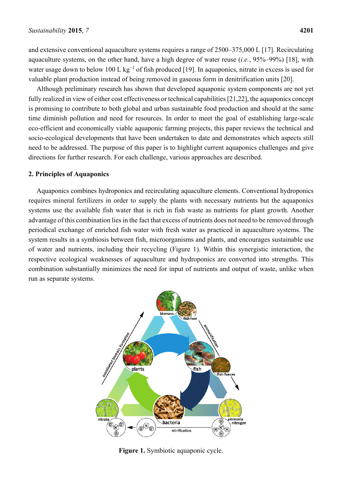and extensive conventional aquaculture systems requires a range of 2500–375,000 L [17]. Recirculating aquaculture systems, on the other hand, have a high degree of water reuse (*i.e.*, 95%–99%) [18], with water usage down to below 100 L  $kg^{-1}$  of fish produced [19]. In aquaponics, nitrate in excess is used for valuable plant production instead of being removed in gaseous form in denitrification units [20].

Although preliminary research has shown that developed aquaponic system components are not yet fully realized in view of either cost effectiveness or technical capabilities [21,22], the aquaponics concept is promising to contribute to both global and urban sustainable food production and should at the same time diminish pollution and need for resources. In order to meet the goal of establishing large-scale eco-efficient and economically viable aquaponic farming projects, this paper reviews the technical and socio-ecological developments that have been undertaken to date and demonstrates which aspects still need to be addressed. The purpose of this paper is to highlight current aquaponics challenges and give directions for further research. For each challenge, various approaches are described.

# **2. Principles of Aquaponics**

Aquaponics combines hydroponics and recirculating aquaculture elements. Conventional hydroponics requires mineral fertilizers in order to supply the plants with necessary nutrients but the aquaponics systems use the available fish water that is rich in fish waste as nutrients for plant growth. Another advantage of this combination lies in the fact that excess of nutrients does not need to be removed through periodical exchange of enriched fish water with fresh water as practiced in aquaculture systems. The system results in a symbiosis between fish, microorganisms and plants, and encourages sustainable use of water and nutrients, including their recycling (Figure 1). Within this synergistic interaction, the respective ecological weaknesses of aquaculture and hydroponics are converted into strengths. This combination substantially minimizes the need for input of nutrients and output of waste, unlike when run as separate systems.



**Figure 1.** Symbiotic aquaponic cycle.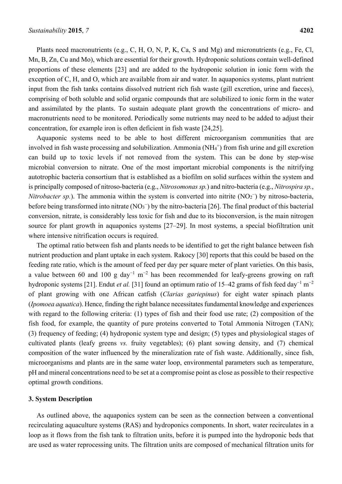Plants need macronutrients (e.g., C, H, O, N, P, K, Ca, S and Mg) and micronutrients (e.g., Fe, Cl, Mn, B, Zn, Cu and Mo), which are essential for their growth. Hydroponic solutions contain well-defined proportions of these elements [23] and are added to the hydroponic solution in ionic form with the exception of C, H, and O, which are available from air and water. In aquaponics systems, plant nutrient input from the fish tanks contains dissolved nutrient rich fish waste (gill excretion, urine and faeces), comprising of both soluble and solid organic compounds that are solubilized to ionic form in the water and assimilated by the plants. To sustain adequate plant growth the concentrations of micro- and macronutrients need to be monitored. Periodically some nutrients may need to be added to adjust their concentration, for example iron is often deficient in fish waste [24,25].

Aquaponic systems need to be able to host different microorganism communities that are involved in fish waste processing and solubilization. Ammonia  $(NH<sub>4</sub><sup>+</sup>)$  from fish urine and gill excretion can build up to toxic levels if not removed from the system. This can be done by step-wise microbial conversion to nitrate. One of the most important microbial components is the nitrifying autotrophic bacteria consortium that is established as a biofilm on solid surfaces within the system and is principally composed of nitroso-bacteria (e.g., *Nitrosomonas sp.*) and nitro-bacteria (e.g., *Nitrospira sp.*, *Nitrobacter sp.*). The ammonia within the system is converted into nitrite  $(NO<sub>2</sub><sup>-</sup>)$  by nitroso-bacteria, before being transformed into nitrate  $(NO<sub>3</sub><sup>-</sup>)$  by the nitro-bacteria [26]. The final product of this bacterial conversion, nitrate, is considerably less toxic for fish and due to its bioconversion, is the main nitrogen source for plant growth in aquaponics systems [27–29]. In most systems, a special biofiltration unit where intensive nitrification occurs is required.

The optimal ratio between fish and plants needs to be identified to get the right balance between fish nutrient production and plant uptake in each system. Rakocy [30] reports that this could be based on the feeding rate ratio, which is the amount of feed per day per square meter of plant varieties. On this basis, a value between 60 and 100 g day<sup>-1</sup> m<sup>-2</sup> has been recommended for leafy-greens growing on raft hydroponic systems [21]. Endut *et al.* [31] found an optimum ratio of 15–42 grams of fish feed day<sup>-1</sup> m<sup>-2</sup> of plant growing with one African catfish (*Clarias gariepinus*) for eight water spinach plants (*Ipomoea aquatica*). Hence, finding the right balance necessitates fundamental knowledge and experiences with regard to the following criteria: (1) types of fish and their food use rate; (2) composition of the fish food, for example, the quantity of pure proteins converted to Total Ammonia Nitrogen (TAN); (3) frequency of feeding; (4) hydroponic system type and design; (5) types and physiological stages of cultivated plants (leafy greens *vs.* fruity vegetables); (6) plant sowing density, and (7) chemical composition of the water influenced by the mineralization rate of fish waste. Additionally, since fish, microorganisms and plants are in the same water loop, environmental parameters such as temperature, pH and mineral concentrations need to be set at a compromise point as close as possible to their respective optimal growth conditions.

# **3. System Description**

As outlined above, the aquaponics system can be seen as the connection between a conventional recirculating aquaculture systems (RAS) and hydroponics components. In short, water recirculates in a loop as it flows from the fish tank to filtration units, before it is pumped into the hydroponic beds that are used as water reprocessing units. The filtration units are composed of mechanical filtration units for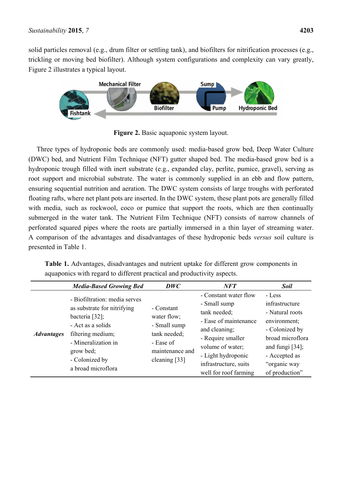solid particles removal (e.g., drum filter or settling tank), and biofilters for nitrification processes (e.g., trickling or moving bed biofilter). Although system configurations and complexity can vary greatly, Figure 2 illustrates a typical layout.



**Figure 2.** Basic aquaponic system layout.

Three types of hydroponic beds are commonly used: media-based grow bed, Deep Water Culture (DWC) bed, and Nutrient Film Technique (NFT) gutter shaped bed. The media-based grow bed is a hydroponic trough filled with inert substrate (e.g., expanded clay, perlite, pumice, gravel), serving as root support and microbial substrate. The water is commonly supplied in an ebb and flow pattern, ensuring sequential nutrition and aeration. The DWC system consists of large troughs with perforated floating rafts, where net plant pots are inserted. In the DWC system, these plant pots are generally filled with media, such as rockwool, coco or pumice that support the roots, which are then continually submerged in the water tank. The Nutrient Film Technique (NFT) consists of narrow channels of perforated squared pipes where the roots are partially immersed in a thin layer of streaming water. A comparison of the advantages and disadvantages of these hydroponic beds *versus* soil culture is presented in Table 1.

|                   | <b>Media-Based Growing Bed</b>                                                                                                                                                                       | DWC                                                                                                        | NFT                                                                                                                                                                                                              | <b>Soil</b>                                                                                                                                                                |
|-------------------|------------------------------------------------------------------------------------------------------------------------------------------------------------------------------------------------------|------------------------------------------------------------------------------------------------------------|------------------------------------------------------------------------------------------------------------------------------------------------------------------------------------------------------------------|----------------------------------------------------------------------------------------------------------------------------------------------------------------------------|
| <b>Advantages</b> | - Biofiltration: media serves<br>as substrate for nitrifying<br>bacteria [32];<br>- Act as a solids<br>filtering medium;<br>- Mineralization in<br>grow bed;<br>- Colonized by<br>a broad microflora | - Constant<br>water flow;<br>- Small sump<br>tank needed;<br>- Ease of<br>maintenance and<br>cleaning [33] | - Constant water flow<br>- Small sump<br>tank needed;<br>- Ease of maintenance<br>and cleaning;<br>- Require smaller<br>volume of water;<br>- Light hydroponic<br>infrastructure, suits<br>well for roof farming | - Less<br>infrastructure<br>- Natural roots<br>environment;<br>- Colonized by<br>broad microflora<br>and fungi $[34]$ ;<br>- Accepted as<br>"organic way<br>of production" |

**Table 1.** Advantages, disadvantages and nutrient uptake for different grow components in aquaponics with regard to different practical and productivity aspects.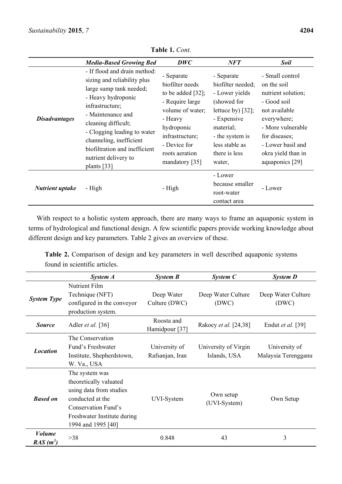|                        | <b>Media-Based Growing Bed</b>                                                                                                                                                                                                                                                                                  | DWC                                                                                                                                                                                            | <b>NFT</b>                                                                                                                                                                           | <b>Soil</b>                                                                                                                                                                                             |  |
|------------------------|-----------------------------------------------------------------------------------------------------------------------------------------------------------------------------------------------------------------------------------------------------------------------------------------------------------------|------------------------------------------------------------------------------------------------------------------------------------------------------------------------------------------------|--------------------------------------------------------------------------------------------------------------------------------------------------------------------------------------|---------------------------------------------------------------------------------------------------------------------------------------------------------------------------------------------------------|--|
| <b>Disadvantages</b>   | - If flood and drain method:<br>sizing and reliability plus<br>large sump tank needed;<br>- Heavy hydroponic<br>infrastructure;<br>- Maintenance and<br>cleaning difficult;<br>- Clogging leading to water<br>channeling, inefficient<br>biofiltration and inefficient<br>nutrient delivery to<br>plants $[33]$ | - Separate<br>biofilter needs<br>to be added $[32]$ ;<br>- Require large<br>volume of water;<br>- Heavy<br>hydroponic<br>infrastructure;<br>- Device for<br>roots aeration<br>mandatory $[35]$ | - Separate<br>biofilter needed;<br>- Lower yields<br>(showed for<br>lettuce by) $[32]$ ;<br>- Expensive<br>material;<br>- the system is<br>less stable as<br>there is less<br>water, | - Small control<br>on the soil<br>nutrient solution;<br>- Good soil<br>not available<br>everywhere;<br>- More vulnerable<br>for diseases;<br>- Lower basil and<br>okra yield than in<br>aquaponics [29] |  |
| <b>Nutrient uptake</b> | - High                                                                                                                                                                                                                                                                                                          | - High                                                                                                                                                                                         | - Lower<br>because smaller                                                                                                                                                           | - Lower                                                                                                                                                                                                 |  |
|                        |                                                                                                                                                                                                                                                                                                                 |                                                                                                                                                                                                | root-water<br>contact area                                                                                                                                                           |                                                                                                                                                                                                         |  |

**Table 1.** *Cont.* 

With respect to a holistic system approach, there are many ways to frame an aquaponic system in terms of hydrological and functional design. A few scientific papers provide working knowledge about different design and key parameters. Table 2 gives an overview of these.

**Table 2.** Comparison of design and key parameters in well described aquaponic systems found in scientific articles.

|                             | System A                                                                                                                                                            | System B                         | System C                             | <b>System D</b>                      |
|-----------------------------|---------------------------------------------------------------------------------------------------------------------------------------------------------------------|----------------------------------|--------------------------------------|--------------------------------------|
| <b>System Type</b>          | <b>Nutrient Film</b><br>Technique (NFT)<br>configured in the conveyor<br>production system.                                                                         | Deep Water<br>Culture (DWC)      | Deep Water Culture<br>(DWC)          | Deep Water Culture<br>(DWC)          |
| <b>Source</b>               | Adler <i>et al.</i> [36]                                                                                                                                            | Roosta and<br>Hamidpour [37]     | Rakocy et al. [24,38]                | Endut et al. [39]                    |
| <b>Location</b>             | The Conservation<br>Fund's Freshwater<br>Institute, Shepherdstown,<br>W. Va., USA                                                                                   | University of<br>Rafsanjan, Iran | University of Virgin<br>Islands, USA | University of<br>Malaysia Terengganu |
| <b>Based on</b>             | The system was<br>theoretically valuated<br>using data from studies<br>conducted at the<br>Conservation Fund's<br>Freshwater Institute during<br>1994 and 1995 [40] | UVI-System                       | Own setup<br>(UVI-System)            | Own Setup                            |
| <i>Volume</i><br>$RAS(m^3)$ | $>38$                                                                                                                                                               | 0.848                            | 43                                   | 3                                    |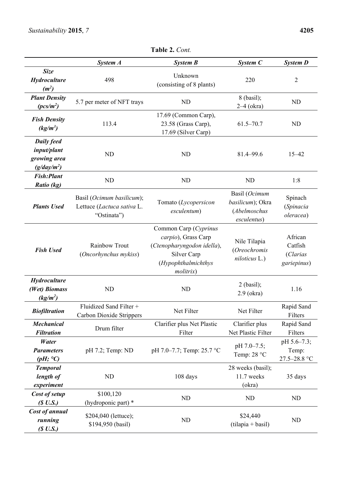|                                                                      | System A                                                               | System B                                                                                                                              | System C                                                         | <b>System D</b>                               |
|----------------------------------------------------------------------|------------------------------------------------------------------------|---------------------------------------------------------------------------------------------------------------------------------------|------------------------------------------------------------------|-----------------------------------------------|
| <b>Size</b><br>Hydroculture<br>(m <sup>2</sup> )                     | 498                                                                    | Unknown<br>(consisting of 8 plants)                                                                                                   | 220                                                              | $\overline{2}$                                |
| <b>Plant Density</b><br>(pcs/m <sup>2</sup> )                        | 5.7 per meter of NFT trays                                             | <b>ND</b>                                                                                                                             | $8$ (basil);<br>$2-4$ (okra)                                     | ND                                            |
| <b>Fish Density</b><br>$(kg/m^3)$                                    | 113.4                                                                  | 17.69 (Common Carp),<br>23.58 (Grass Carp),<br>17.69 (Silver Carp)                                                                    | $61.5 - 70.7$                                                    | <b>ND</b>                                     |
| Daily feed<br>input/plant<br>growing area<br>(g/day/m <sup>2</sup> ) | <b>ND</b>                                                              | <b>ND</b>                                                                                                                             | 81.4-99.6                                                        | $15 - 42$                                     |
| <b>Fish:Plant</b><br>Ratio (kg)                                      | <b>ND</b>                                                              | <b>ND</b>                                                                                                                             | <b>ND</b>                                                        | 1:8                                           |
| <b>Plants Used</b>                                                   | Basil (Ocimum basilicum);<br>Lettuce (Lactuca sativa L.<br>"Ostinata") | Tomato (Lycopersicon<br>esculentum)                                                                                                   | Basil (Ocimum<br>basilicum); Okra<br>(Abelmoschus<br>esculentus) | Spinach<br>(Spinacia<br>oleracea)             |
| <b>Fish Used</b>                                                     | Rainbow Trout<br>(Oncorhynchus mykiss)                                 | Common Carp (Cyprinus<br>carpio), Grass Carp<br>(Ctenopharyngodon idella),<br>Silver Carp<br>(Hypophthalmichthys<br><i>molitrix</i> ) | Nile Tilapia<br>(Oreochromis<br>niloticus L.)                    | African<br>Catfish<br>(Clarias<br>gariepinus) |
| <b>Hydroculture</b><br>(Wet) Biomass<br>$(kg/m^2)$                   | <b>ND</b>                                                              | <b>ND</b>                                                                                                                             | $2$ (basil);<br>$2.9$ (okra)                                     | 1.16                                          |
| <b>Biofiltration</b>                                                 | Fluidized Sand Filter +<br><b>Carbon Dioxide Strippers</b>             | Net Filter                                                                                                                            | Net Filter                                                       | Rapid Sand<br>Filters                         |
| <b>Mechanical</b><br><b>Filtration</b>                               | Drum filter                                                            | Clarifier plus Net Plastic<br>Filter                                                                                                  | Clarifier plus<br>Net Plastic Filter                             | Rapid Sand<br>Filters                         |
| Water<br><b>Parameters</b><br>$(pH; {}^{\circ}C)$                    | pH 7.2; Temp: ND                                                       | pH 7.0-7.7; Temp: 25.7 °C                                                                                                             | pH 7.0-7.5;<br>Temp: 28 °C                                       | pH 5.6-7.3;<br>Temp:<br>27.5-28.8 °C          |
| <b>Temporal</b><br>length of<br>experiment                           | ND                                                                     | 108 days                                                                                                                              | 28 weeks (basil);<br>11.7 weeks<br>(okra)                        | 35 days                                       |
| Cost of setup<br>$(S$ U.S.)                                          | \$100,120<br>(hydroponic part) *                                       | <b>ND</b>                                                                                                                             | ND                                                               | ND                                            |
| Cost of annual<br>running<br>$(S$ U.S.)                              | \$204,040 (lettuce);<br>\$194,950 (basil)                              | ND                                                                                                                                    | \$24,440<br>$(tilapia + basil)$                                  | ND                                            |

**Table 2.** *Cont.*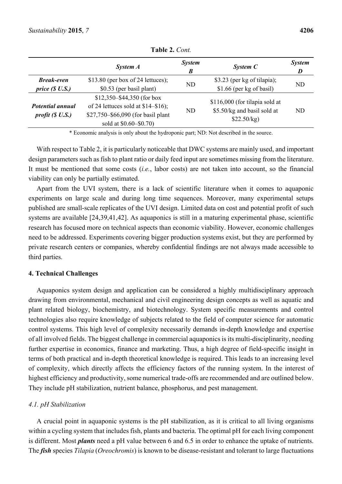|                                     | System A                                                                                                                           | <b>System</b><br>B | System C                                                                    | <b>System</b><br>D |
|-------------------------------------|------------------------------------------------------------------------------------------------------------------------------------|--------------------|-----------------------------------------------------------------------------|--------------------|
| <b>Break-even</b><br>price(SUS.)    | \$13.80 (per box of 24 lettuces);<br>\$0.53 (per basil plant)                                                                      | N <sub>D</sub>     | ND                                                                          |                    |
| Potential annual<br>profit(S, U.S.) | $$12,350 - $44,350$ (for box<br>of 24 lettuces sold at $$14–$16$ ;<br>\$27,750-\$66,090 (for basil plant<br>sold at \$0.60–\$0.70) | N <sub>D</sub>     | \$116,000 (for tilapia sold at<br>\$5.50/kg and basil sold at<br>\$22.50/kg | ND                 |

**Table 2.** *Cont.* 

\* Economic analysis is only about the hydroponic part; ND: Not described in the source.

With respect to Table 2, it is particularly noticeable that DWC systems are mainly used, and important design parameters such as fish to plant ratio or daily feed input are sometimes missing from the literature. It must be mentioned that some costs (*i.e.*, labor costs) are not taken into account, so the financial viability can only be partially estimated.

Apart from the UVI system, there is a lack of scientific literature when it comes to aquaponic experiments on large scale and during long time sequences. Moreover, many experimental setups published are small-scale replicates of the UVI design. Limited data on cost and potential profit of such systems are available [24,39,41,42]. As aquaponics is still in a maturing experimental phase, scientific research has focused more on technical aspects than economic viability. However, economic challenges need to be addressed. Experiments covering bigger production systems exist, but they are performed by private research centers or companies, whereby confidential findings are not always made accessible to third parties.

#### **4. Technical Challenges**

Aquaponics system design and application can be considered a highly multidisciplinary approach drawing from environmental, mechanical and civil engineering design concepts as well as aquatic and plant related biology, biochemistry, and biotechnology. System specific measurements and control technologies also require knowledge of subjects related to the field of computer science for automatic control systems. This high level of complexity necessarily demands in-depth knowledge and expertise of all involved fields. The biggest challenge in commercial aquaponics is its multi-disciplinarity, needing further expertise in economics, finance and marketing. Thus, a high degree of field-specific insight in terms of both practical and in-depth theoretical knowledge is required. This leads to an increasing level of complexity, which directly affects the efficiency factors of the running system. In the interest of highest efficiency and productivity, some numerical trade-offs are recommended and are outlined below. They include pH stabilization, nutrient balance, phosphorus, and pest management.

#### *4.1. pH Stabilization*

A crucial point in aquaponic systems is the pH stabilization, as it is critical to all living organisms within a cycling system that includes fish, plants and bacteria. The optimal pH for each living component is different. Most *plants* need a pH value between 6 and 6.5 in order to enhance the uptake of nutrients. The *fish* species *Tilapia* (*Oreochromis*) is known to be disease-resistant and tolerant to large fluctuations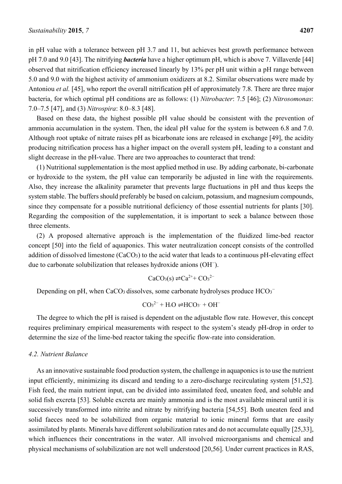in pH value with a tolerance between pH 3.7 and 11, but achieves best growth performance between pH 7.0 and 9.0 [43]. The nitrifying *bacteria* have a higher optimum pH, which is above 7. Villaverde [44] observed that nitrification efficiency increased linearly by 13% per pH unit within a pH range between 5.0 and 9.0 with the highest activity of ammonium oxidizers at 8.2. Similar observations were made by Antoniou *et al.* [45], who report the overall nitrification pH of approximately 7.8. There are three major bacteria, for which optimal pH conditions are as follows: (1) *Nitrobacter*: 7.5 [46]; (2) *Nitrosomonas*: 7.0–7.5 [47], and (3) *Nitrospira*: 8.0–8.3 [48].

Based on these data, the highest possible pH value should be consistent with the prevention of ammonia accumulation in the system. Then, the ideal pH value for the system is between 6.8 and 7.0. Although root uptake of nitrate raises pH as bicarbonate ions are released in exchange [49], the acidity producing nitrification process has a higher impact on the overall system pH, leading to a constant and slight decrease in the pH-value. There are two approaches to counteract that trend:

(1) Nutritional supplementation is the most applied method in use. By adding carbonate, bi-carbonate or hydroxide to the system, the pH value can temporarily be adjusted in line with the requirements. Also, they increase the alkalinity parameter that prevents large fluctuations in pH and thus keeps the system stable. The buffers should preferably be based on calcium, potassium, and magnesium compounds, since they compensate for a possible nutritional deficiency of those essential nutrients for plants [30]. Regarding the composition of the supplementation, it is important to seek a balance between those three elements.

(2) A proposed alternative approach is the implementation of the fluidized lime-bed reactor concept [50] into the field of aquaponics. This water neutralization concept consists of the controlled addition of dissolved limestone  $(CaCO<sub>3</sub>)$  to the acid water that leads to a continuous pH-elevating effect due to carbonate solubilization that releases hydroxide anions (OH<sup>−</sup>).

$$
\text{CaCO}_3(\text{s}) \rightleftharpoons \text{Ca}^{2+} + \text{CO}_3^{2-}
$$

Depending on pH, when CaCO<sub>3</sub> dissolves, some carbonate hydrolyses produce  $HCO<sub>3</sub>$ <sup>-</sup>

$$
CO32- + H2O \rightleftharpoons HCO3- + OH-
$$

The degree to which the pH is raised is dependent on the adjustable flow rate. However, this concept requires preliminary empirical measurements with respect to the system's steady pH-drop in order to determine the size of the lime-bed reactor taking the specific flow-rate into consideration.

#### *4.2. Nutrient Balance*

As an innovative sustainable food production system, the challenge in aquaponics is to use the nutrient input efficiently, minimizing its discard and tending to a zero-discharge recirculating system [51,52]. Fish feed, the main nutrient input, can be divided into assimilated feed, uneaten feed, and soluble and solid fish excreta [53]. Soluble excreta are mainly ammonia and is the most available mineral until it is successively transformed into nitrite and nitrate by nitrifying bacteria [54,55]. Both uneaten feed and solid faeces need to be solubilized from organic material to ionic mineral forms that are easily assimilated by plants. Minerals have different solubilization rates and do not accumulate equally [25,33], which influences their concentrations in the water. All involved microorganisms and chemical and physical mechanisms of solubilization are not well understood [20,56]. Under current practices in RAS,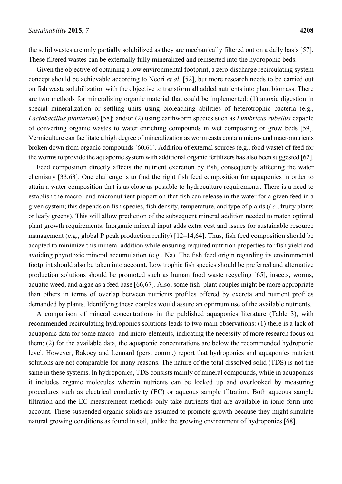the solid wastes are only partially solubilized as they are mechanically filtered out on a daily basis [57]. These filtered wastes can be externally fully mineralized and reinserted into the hydroponic beds.

Given the objective of obtaining a low environmental footprint, a zero-discharge recirculating system concept should be achievable according to Neori *et al.* [52], but more research needs to be carried out on fish waste solubilization with the objective to transform all added nutrients into plant biomass. There are two methods for mineralizing organic material that could be implemented: (1) anoxic digestion in special mineralization or settling units using bioleaching abilities of heterotrophic bacteria (e.g., *Lactobacillus plantarum*) [58]; and/or (2) using earthworm species such as *Lumbricus rubellus* capable of converting organic wastes to water enriching compounds in wet composting or grow beds [59]. Vermiculture can facilitate a high degree of mineralization as worm casts contain micro- and macronutrients broken down from organic compounds [60,61]. Addition of external sources (e.g., food waste) of feed for the worms to provide the aquaponic system with additional organic fertilizers has also been suggested [62].

Feed composition directly affects the nutrient excretion by fish, consequently affecting the water chemistry [33,63]. One challenge is to find the right fish feed composition for aquaponics in order to attain a water composition that is as close as possible to hydroculture requirements. There is a need to establish the macro- and micronutrient proportion that fish can release in the water for a given feed in a given system; this depends on fish species, fish density, temperature, and type of plants (*i.e.*, fruity plants or leafy greens). This will allow prediction of the subsequent mineral addition needed to match optimal plant growth requirements. Inorganic mineral input adds extra cost and issues for sustainable resource management (e.g., global P peak production reality) [12–14,64]. Thus, fish feed composition should be adapted to minimize this mineral addition while ensuring required nutrition properties for fish yield and avoiding phytotoxic mineral accumulation (e.g., Na). The fish feed origin regarding its environmental footprint should also be taken into account. Low trophic fish species should be preferred and alternative production solutions should be promoted such as human food waste recycling [65], insects, worms, aquatic weed, and algae as a feed base [66,67]. Also, some fish–plant couples might be more appropriate than others in terms of overlap between nutrients profiles offered by excreta and nutrient profiles demanded by plants. Identifying these couples would assure an optimum use of the available nutrients.

A comparison of mineral concentrations in the published aquaponics literature (Table 3), with recommended recirculating hydroponics solutions leads to two main observations: (1) there is a lack of aquaponic data for some macro- and micro-elements, indicating the necessity of more research focus on them; (2) for the available data, the aquaponic concentrations are below the recommended hydroponic level. However, Rakocy and Lennard (pers. comm.) report that hydroponics and aquaponics nutrient solutions are not comparable for many reasons. The nature of the total dissolved solid (TDS) is not the same in these systems. In hydroponics, TDS consists mainly of mineral compounds, while in aquaponics it includes organic molecules wherein nutrients can be locked up and overlooked by measuring procedures such as electrical conductivity (EC) or aqueous sample filtration. Both aqueous sample filtration and the EC measurement methods only take nutrients that are available in ionic form into account. These suspended organic solids are assumed to promote growth because they might simulate natural growing conditions as found in soil, unlike the growing environment of hydroponics [68].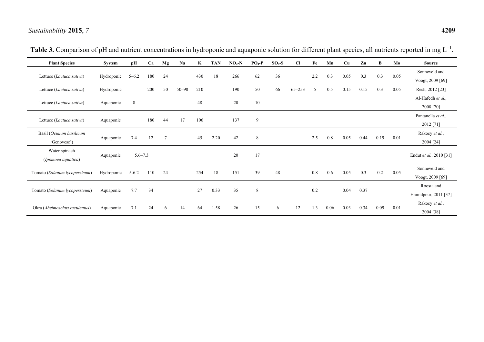# *Sustainability* **2015**, *7* **4209**

| <b>Plant Species</b>                   | <b>System</b> | pН          | Ca  | Mg             | Na        | K   | <b>TAN</b> | $NO3-N$ | $PO4-P$ | $SO4-S$ | <b>CI</b>  | Fe  | Mn   | Cu   | Zn   | B    | Mo   | <b>Source</b>                      |
|----------------------------------------|---------------|-------------|-----|----------------|-----------|-----|------------|---------|---------|---------|------------|-----|------|------|------|------|------|------------------------------------|
| Lettuce (Lactuca sativa)               | Hydroponic    | $5 - 6.2$   | 180 | 24             |           | 430 | 18         | 266     | 62      | 36      |            | 2.2 | 0.3  | 0.05 | 0.3  | 0.3  | 0.05 | Sonneveld and<br>Voogt, 2009 [69]  |
| Lettuce (Lactuca sativa)               | Hydroponic    |             | 200 | 50             | $50 - 90$ | 210 |            | 190     | 50      | 66      | $65 - 253$ | 5   | 0.5  | 0.15 | 0.15 | 0.3  | 0.05 | Resh, 2012 [23]                    |
| Lettuce (Lactuca sativa)               | Aquaponic     | 8           |     |                |           | 48  |            | 20      | 10      |         |            |     |      |      |      |      |      | Al-Hafedh et al.,<br>2008 [70]     |
| Lettuce (Lactuca sativa)               | Aquaponic     |             | 180 | 44             | 17        | 106 |            | 137     | 9       |         |            |     |      |      |      |      |      | Pantanella et al.,<br>2012 [71]    |
| Basil (Ocimum basilicum<br>'Genovese') | Aquaponic     | 7.4         | 12  | $\overline{7}$ |           | 45  | 2.20       | 42      | 8       |         |            | 2.5 | 0.8  | 0.05 | 0.44 | 0.19 | 0.01 | Rakocy et al.,<br>2004 [24]        |
| Water spinach<br>(Ipomoea aquatica)    | Aquaponic     | $5.6 - 7.3$ |     |                |           |     |            | 20      | 17      |         |            |     |      |      |      |      |      | Endut et al., 2010 [31]            |
| Tomato (Solanum lycopersicum)          | Hydroponic    | $5 - 6.2$   | 110 | 24             |           | 254 | 18         | 151     | 39      | 48      |            | 0.8 | 0.6  | 0.05 | 0.3  | 0.2  | 0.05 | Sonneveld and<br>Voogt, 2009 [69]  |
| Tomato (Solanum lycopersicum)          | Aquaponic     | 7.7         | 34  |                |           | 27  | 0.33       | 35      | 8       |         |            | 0.2 |      | 0.04 | 0.37 |      |      | Roosta and<br>Hamidpour, 2011 [37] |
| Okra (Abelmoschus esculentus)          | Aquaponic     | 7.1         | 24  | 6              | 14        | 64  | 1.58       | 26      | 15      | 6       | 12         | 1.3 | 0.06 | 0.03 | 0.34 | 0.09 | 0.01 | Rakocy et al.,<br>2004 [38]        |

# Table 3. Comparison of pH and nutrient concentrations in hydroponic and aquaponic solution for different plant species, all nutrients reported in mg L<sup>-1</sup>.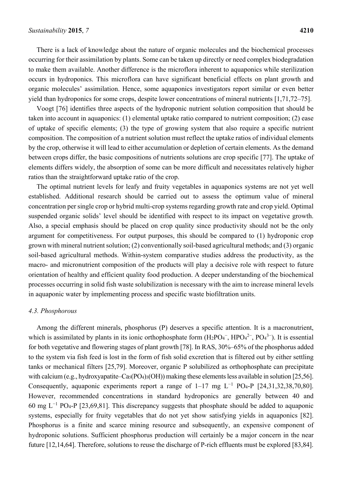There is a lack of knowledge about the nature of organic molecules and the biochemical processes occurring for their assimilation by plants. Some can be taken up directly or need complex biodegradation to make them available. Another difference is the microflora inherent to aquaponics while sterilization occurs in hydroponics. This microflora can have significant beneficial effects on plant growth and organic molecules' assimilation. Hence, some aquaponics investigators report similar or even better yield than hydroponics for some crops, despite lower concentrations of mineral nutrients [1,71,72–75].

Voogt [76] identifies three aspects of the hydroponic nutrient solution composition that should be taken into account in aquaponics: (1) elemental uptake ratio compared to nutrient composition; (2) ease of uptake of specific elements; (3) the type of growing system that also require a specific nutrient composition. The composition of a nutrient solution must reflect the uptake ratios of individual elements by the crop, otherwise it will lead to either accumulation or depletion of certain elements. As the demand between crops differ, the basic compositions of nutrients solutions are crop specific [77]. The uptake of elements differs widely, the absorption of some can be more difficult and necessitates relatively higher ratios than the straightforward uptake ratio of the crop.

The optimal nutrient levels for leafy and fruity vegetables in aquaponics systems are not yet well established. Additional research should be carried out to assess the optimum value of mineral concentration per single crop or hybrid multi-crop systems regarding growth rate and crop yield. Optimal suspended organic solids' level should be identified with respect to its impact on vegetative growth. Also, a special emphasis should be placed on crop quality since productivity should not be the only argument for competitiveness. For output purposes, this should be compared to (1) hydroponic crop grown with mineral nutrient solution; (2) conventionally soil-based agricultural methods; and (3) organic soil-based agricultural methods. Within-system comparative studies address the productivity, as the macro- and micronutrient composition of the products will play a decisive role with respect to future orientation of healthy and efficient quality food production. A deeper understanding of the biochemical processes occurring in solid fish waste solubilization is necessary with the aim to increase mineral levels in aquaponic water by implementing process and specific waste biofiltration units.

#### *4.3. Phosphorous*

Among the different minerals, phosphorus (P) deserves a specific attention. It is a macronutrient, which is assimilated by plants in its ionic orthophosphate form  $(H_2PO_4^-$ ,  $HPO_4^{2-}$ ,  $PO_4^{3-}$ ). It is essential for both vegetative and flowering stages of plant growth [78]. In RAS, 30%–65% of the phosphorus added to the system via fish feed is lost in the form of fish solid excretion that is filtered out by either settling tanks or mechanical filters [25,79]. Moreover, organic P solubilized as orthophosphate can precipitate with calcium (e.g., hydroxyapatite–Ca<sub>5</sub>(PO<sub>4</sub>)<sub>3</sub>(OH)) making these elements less available in solution [25,56]. Consequently, aquaponic experiments report a range of  $1-17$  mg L<sup>-1</sup> PO<sub>4</sub>-P [24,31,32,38,70,80]. However, recommended concentrations in standard hydroponics are generally between 40 and 60 mg L<sup>−</sup><sup>1</sup> PO4-P [23,69,81]. This discrepancy suggests that phosphate should be added to aquaponic systems, especially for fruity vegetables that do not yet show satisfying yields in aquaponics [82]. Phosphorus is a finite and scarce mining resource and subsequently, an expensive component of hydroponic solutions. Sufficient phosphorus production will certainly be a major concern in the near future [12,14,64]. Therefore, solutions to reuse the discharge of P-rich effluents must be explored [83,84].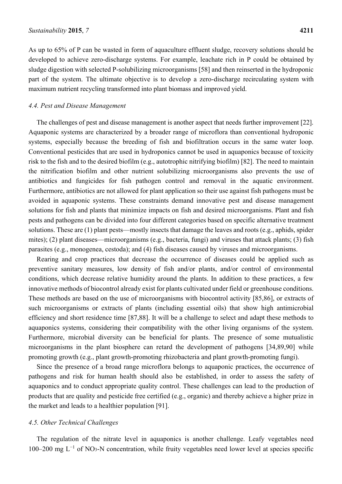As up to 65% of P can be wasted in form of aquaculture effluent sludge, recovery solutions should be developed to achieve zero-discharge systems. For example, leachate rich in P could be obtained by sludge digestion with selected P-solubilizing microorganisms [58] and then reinserted in the hydroponic part of the system. The ultimate objective is to develop a zero-discharge recirculating system with maximum nutrient recycling transformed into plant biomass and improved yield.

### *4.4. Pest and Disease Management*

The challenges of pest and disease management is another aspect that needs further improvement [22]. Aquaponic systems are characterized by a broader range of microflora than conventional hydroponic systems, especially because the breeding of fish and biofiltration occurs in the same water loop. Conventional pesticides that are used in hydroponics cannot be used in aquaponics because of toxicity risk to the fish and to the desired biofilm (e.g., autotrophic nitrifying biofilm) [82]. The need to maintain the nitrification biofilm and other nutrient solubilizing microorganisms also prevents the use of antibiotics and fungicides for fish pathogen control and removal in the aquatic environment. Furthermore, antibiotics are not allowed for plant application so their use against fish pathogens must be avoided in aquaponic systems. These constraints demand innovative pest and disease management solutions for fish and plants that minimize impacts on fish and desired microorganisms. Plant and fish pests and pathogens can be divided into four different categories based on specific alternative treatment solutions. These are (1) plant pests—mostly insects that damage the leaves and roots (e.g., aphids, spider mites); (2) plant diseases—microorganisms (e.g., bacteria, fungi) and viruses that attack plants; (3) fish parasites (e.g., monogenea, cestoda); and (4) fish diseases caused by viruses and microorganisms.

Rearing and crop practices that decrease the occurrence of diseases could be applied such as preventive sanitary measures, low density of fish and/or plants, and/or control of environmental conditions, which decrease relative humidity around the plants. In addition to these practices, a few innovative methods of biocontrol already exist for plants cultivated under field or greenhouse conditions. These methods are based on the use of microorganisms with biocontrol activity [85,86], or extracts of such microorganisms or extracts of plants (including essential oils) that show high antimicrobial efficiency and short residence time [87,88]. It will be a challenge to select and adapt these methods to aquaponics systems, considering their compatibility with the other living organisms of the system. Furthermore, microbial diversity can be beneficial for plants. The presence of some mutualistic microorganisms in the plant biosphere can retard the development of pathogens [34,89,90] while promoting growth (e.g., plant growth-promoting rhizobacteria and plant growth-promoting fungi).

Since the presence of a broad range microflora belongs to aquaponic practices, the occurrence of pathogens and risk for human health should also be established, in order to assess the safety of aquaponics and to conduct appropriate quality control. These challenges can lead to the production of products that are quality and pesticide free certified (e.g., organic) and thereby achieve a higher prize in the market and leads to a healthier population [91].

# *4.5. Other Technical Challenges*

The regulation of the nitrate level in aquaponics is another challenge. Leafy vegetables need 100–200 mg L<sup>-1</sup> of NO<sub>3</sub>-N concentration, while fruity vegetables need lower level at species specific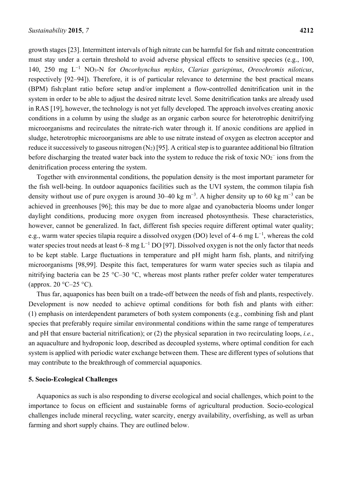growth stages [23]. Intermittent intervals of high nitrate can be harmful for fish and nitrate concentration must stay under a certain threshold to avoid adverse physical effects to sensitive species (e.g., 100, 140, 250 mg L<sup>−</sup><sup>1</sup> NO3-N for *Oncorhynchus mykiss*, *Clarias gariepinus*, *Oreochromis niloticus*, respectively [92–94]). Therefore, it is of particular relevance to determine the best practical means (BPM) fish:plant ratio before setup and/or implement a flow-controlled denitrification unit in the system in order to be able to adjust the desired nitrate level. Some denitrification tanks are already used in RAS [19], however, the technology is not yet fully developed. The approach involves creating anoxic conditions in a column by using the sludge as an organic carbon source for heterotrophic denitrifying microorganisms and recirculates the nitrate-rich water through it. If anoxic conditions are applied in sludge, heterotrophic microorganisms are able to use nitrate instead of oxygen as electron acceptor and reduce it successively to gaseous nitrogen  $(N_2)$  [95]. A critical step is to guarantee additional bio filtration before discharging the treated water back into the system to reduce the risk of toxic  $NO<sub>2</sub><sup>-</sup>$  ions from the denitrification process entering the system.

Together with environmental conditions, the population density is the most important parameter for the fish well-being. In outdoor aquaponics facilities such as the UVI system, the common tilapia fish density without use of pure oxygen is around 30–40 kg m<sup>-3</sup>. A higher density up to 60 kg m<sup>-3</sup> can be achieved in greenhouses [96]; this may be due to more algae and cyanobacteria blooms under longer daylight conditions, producing more oxygen from increased photosynthesis. These characteristics, however, cannot be generalized. In fact, different fish species require different optimal water quality; e.g., warm water species tilapia require a dissolved oxygen (DO) level of 4–6 mg  $L^{-1}$ , whereas the cold water species trout needs at least 6–8 mg  $L^{-1}$  DO [97]. Dissolved oxygen is not the only factor that needs to be kept stable. Large fluctuations in temperature and pH might harm fish, plants, and nitrifying microorganisms [98,99]. Despite this fact, temperatures for warm water species such as tilapia and nitrifying bacteria can be 25 °C–30 °C, whereas most plants rather prefer colder water temperatures (approx. 20  $\textdegree$ C $-25 \textdegree$ C).

Thus far, aquaponics has been built on a trade-off between the needs of fish and plants, respectively. Development is now needed to achieve optimal conditions for both fish and plants with either: (1) emphasis on interdependent parameters of both system components (e.g., combining fish and plant species that preferably require similar environmental conditions within the same range of temperatures and pH that ensure bacterial nitrification); or (2) the physical separation in two recirculating loops, *i.e.*, an aquaculture and hydroponic loop, described as decoupled systems, where optimal condition for each system is applied with periodic water exchange between them. These are different types of solutions that may contribute to the breakthrough of commercial aquaponics.

#### **5. Socio-Ecological Challenges**

Aquaponics as such is also responding to diverse ecological and social challenges, which point to the importance to focus on efficient and sustainable forms of agricultural production. Socio-ecological challenges include mineral recycling, water scarcity, energy availability, overfishing, as well as urban farming and short supply chains. They are outlined below.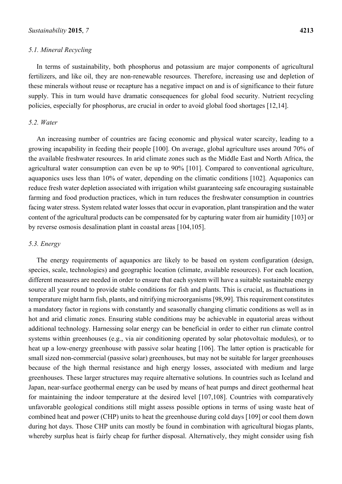#### *5.1. Mineral Recycling*

In terms of sustainability, both phosphorus and potassium are major components of agricultural fertilizers, and like oil, they are non-renewable resources. Therefore, increasing use and depletion of these minerals without reuse or recapture has a negative impact on and is of significance to their future supply. This in turn would have dramatic consequences for global food security. Nutrient recycling policies, especially for phosphorus, are crucial in order to avoid global food shortages [12,14].

#### *5.2. Water*

An increasing number of countries are facing economic and physical water scarcity, leading to a growing incapability in feeding their people [100]. On average, global agriculture uses around 70% of the available freshwater resources. In arid climate zones such as the Middle East and North Africa, the agricultural water consumption can even be up to 90% [101]. Compared to conventional agriculture, aquaponics uses less than 10% of water, depending on the climatic conditions [102]. Aquaponics can reduce fresh water depletion associated with irrigation whilst guaranteeing safe encouraging sustainable farming and food production practices, which in turn reduces the freshwater consumption in countries facing water stress. System related water losses that occur in evaporation, plant transpiration and the water content of the agricultural products can be compensated for by capturing water from air humidity [103] or by reverse osmosis desalination plant in coastal areas [104,105].

### *5.3. Energy*

The energy requirements of aquaponics are likely to be based on system configuration (design, species, scale, technologies) and geographic location (climate, available resources). For each location, different measures are needed in order to ensure that each system will have a suitable sustainable energy source all year round to provide stable conditions for fish and plants. This is crucial, as fluctuations in temperature might harm fish, plants, and nitrifying microorganisms [98,99]. This requirement constitutes a mandatory factor in regions with constantly and seasonally changing climatic conditions as well as in hot and arid climatic zones. Ensuring stable conditions may be achievable in equatorial areas without additional technology. Harnessing solar energy can be beneficial in order to either run climate control systems within greenhouses (e.g., via air conditioning operated by solar photovoltaic modules), or to heat up a low-energy greenhouse with passive solar heating [106]. The latter option is practicable for small sized non-commercial (passive solar) greenhouses, but may not be suitable for larger greenhouses because of the high thermal resistance and high energy losses, associated with medium and large greenhouses. These larger structures may require alternative solutions. In countries such as Iceland and Japan, near-surface geothermal energy can be used by means of heat pumps and direct geothermal heat for maintaining the indoor temperature at the desired level [107,108]. Countries with comparatively unfavorable geological conditions still might assess possible options in terms of using waste heat of combined heat and power (CHP) units to heat the greenhouse during cold days [109] or cool them down during hot days. Those CHP units can mostly be found in combination with agricultural biogas plants, whereby surplus heat is fairly cheap for further disposal. Alternatively, they might consider using fish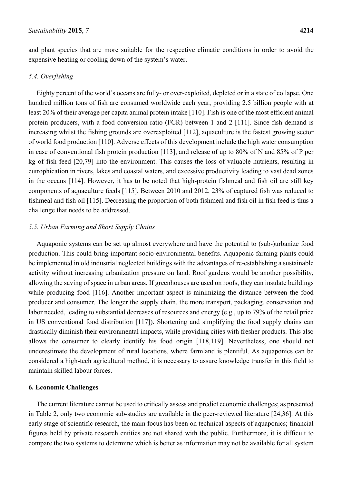and plant species that are more suitable for the respective climatic conditions in order to avoid the expensive heating or cooling down of the system's water.

#### *5.4. Overfishing*

Eighty percent of the world's oceans are fully- or over-exploited, depleted or in a state of collapse. One hundred million tons of fish are consumed worldwide each year, providing 2.5 billion people with at least 20% of their average per capita animal protein intake [110]. Fish is one of the most efficient animal protein producers, with a food conversion ratio (FCR) between 1 and 2 [111]. Since fish demand is increasing whilst the fishing grounds are overexploited [112], aquaculture is the fastest growing sector of world food production [110]. Adverse effects of this development include the high water consumption in case of conventional fish protein production [113], and release of up to 80% of N and 85% of P per kg of fish feed [20,79] into the environment. This causes the loss of valuable nutrients, resulting in eutrophication in rivers, lakes and coastal waters, and excessive productivity leading to vast dead zones in the oceans [114]. However, it has to be noted that high-protein fishmeal and fish oil are still key components of aquaculture feeds [115]. Between 2010 and 2012, 23% of captured fish was reduced to fishmeal and fish oil [115]. Decreasing the proportion of both fishmeal and fish oil in fish feed is thus a challenge that needs to be addressed.

#### *5.5. Urban Farming and Short Supply Chains*

Aquaponic systems can be set up almost everywhere and have the potential to (sub-)urbanize food production. This could bring important socio-environmental benefits. Aquaponic farming plants could be implemented in old industrial neglected buildings with the advantages of re-establishing a sustainable activity without increasing urbanization pressure on land. Roof gardens would be another possibility, allowing the saving of space in urban areas. If greenhouses are used on roofs, they can insulate buildings while producing food [116]. Another important aspect is minimizing the distance between the food producer and consumer. The longer the supply chain, the more transport, packaging, conservation and labor needed, leading to substantial decreases of resources and energy (e.g., up to 79% of the retail price in US conventional food distribution [117]). Shortening and simplifying the food supply chains can drastically diminish their environmental impacts, while providing cities with fresher products. This also allows the consumer to clearly identify his food origin [118,119]. Nevertheless, one should not underestimate the development of rural locations, where farmland is plentiful. As aquaponics can be considered a high-tech agricultural method, it is necessary to assure knowledge transfer in this field to maintain skilled labour forces.

### **6. Economic Challenges**

The current literature cannot be used to critically assess and predict economic challenges; as presented in Table 2, only two economic sub-studies are available in the peer-reviewed literature [24,36]. At this early stage of scientific research, the main focus has been on technical aspects of aquaponics; financial figures held by private research entities are not shared with the public. Furthermore, it is difficult to compare the two systems to determine which is better as information may not be available for all system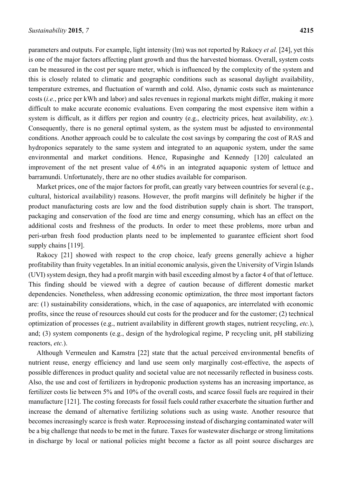parameters and outputs. For example, light intensity (lm) was not reported by Rakocy *et al.* [24], yet this is one of the major factors affecting plant growth and thus the harvested biomass. Overall, system costs can be measured in the cost per square meter, which is influenced by the complexity of the system and this is closely related to climatic and geographic conditions such as seasonal daylight availability, temperature extremes, and fluctuation of warmth and cold. Also, dynamic costs such as maintenance costs (*i.e.*, price per kWh and labor) and sales revenues in regional markets might differ, making it more difficult to make accurate economic evaluations. Even comparing the most expensive item within a system is difficult, as it differs per region and country (e.g., electricity prices, heat availability, *etc.*). Consequently, there is no general optimal system, as the system must be adjusted to environmental conditions. Another approach could be to calculate the cost savings by comparing the cost of RAS and hydroponics separately to the same system and integrated to an aquaponic system, under the same environmental and market conditions. Hence, Rupasinghe and Kennedy [120] calculated an improvement of the net present value of 4.6% in an integrated aquaponic system of lettuce and barramundi. Unfortunately, there are no other studies available for comparison.

Market prices, one of the major factors for profit, can greatly vary between countries for several (e.g., cultural, historical availability) reasons. However, the profit margins will definitely be higher if the product manufacturing costs are low and the food distribution supply chain is short. The transport, packaging and conservation of the food are time and energy consuming, which has an effect on the additional costs and freshness of the products. In order to meet these problems, more urban and peri-urban fresh food production plants need to be implemented to guarantee efficient short food supply chains [119].

Rakocy [21] showed with respect to the crop choice, leafy greens generally achieve a higher profitability than fruity vegetables. In an initial economic analysis, given the University of Virgin Islands (UVI) system design, they had a profit margin with basil exceeding almost by a factor 4 of that of lettuce. This finding should be viewed with a degree of caution because of different domestic market dependencies. Nonetheless, when addressing economic optimization, the three most important factors are: (1) sustainability considerations, which, in the case of aquaponics, are interrelated with economic profits, since the reuse of resources should cut costs for the producer and for the customer; (2) technical optimization of processes (e.g., nutrient availability in different growth stages, nutrient recycling, *etc.*), and; (3) system components (e.g., design of the hydrological regime, P recycling unit, pH stabilizing reactors, *etc.*).

Although Vermeulen and Kamstra [22] state that the actual perceived environmental benefits of nutrient reuse, energy efficiency and land use seem only marginally cost-effective, the aspects of possible differences in product quality and societal value are not necessarily reflected in business costs. Also, the use and cost of fertilizers in hydroponic production systems has an increasing importance, as fertilizer costs lie between 5% and 10% of the overall costs, and scarce fossil fuels are required in their manufacture [121]. The costing forecasts for fossil fuels could rather exacerbate the situation further and increase the demand of alternative fertilizing solutions such as using waste. Another resource that becomes increasingly scarce is fresh water. Reprocessing instead of discharging contaminated water will be a big challenge that needs to be met in the future. Taxes for wastewater discharge or strong limitations in discharge by local or national policies might become a factor as all point source discharges are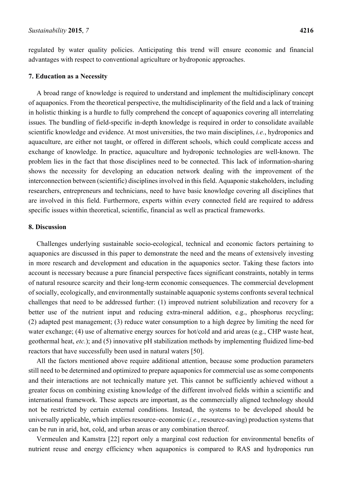regulated by water quality policies. Anticipating this trend will ensure economic and financial advantages with respect to conventional agriculture or hydroponic approaches.

#### **7. Education as a Necessity**

A broad range of knowledge is required to understand and implement the multidisciplinary concept of aquaponics. From the theoretical perspective, the multidisciplinarity of the field and a lack of training in holistic thinking is a hurdle to fully comprehend the concept of aquaponics covering all interrelating issues. The bundling of field-specific in-depth knowledge is required in order to consolidate available scientific knowledge and evidence. At most universities, the two main disciplines, *i.e.*, hydroponics and aquaculture, are either not taught, or offered in different schools, which could complicate access and exchange of knowledge. In practice, aquaculture and hydroponic technologies are well-known. The problem lies in the fact that those disciplines need to be connected. This lack of information-sharing shows the necessity for developing an education network dealing with the improvement of the interconnection between (scientific) disciplines involved in this field. Aquaponic stakeholders, including researchers, entrepreneurs and technicians, need to have basic knowledge covering all disciplines that are involved in this field. Furthermore, experts within every connected field are required to address specific issues within theoretical, scientific, financial as well as practical frameworks.

# **8. Discussion**

Challenges underlying sustainable socio-ecological, technical and economic factors pertaining to aquaponics are discussed in this paper to demonstrate the need and the means of extensively investing in more research and development and education in the aquaponics sector. Taking these factors into account is necessary because a pure financial perspective faces significant constraints, notably in terms of natural resource scarcity and their long-term economic consequences. The commercial development of socially, ecologically, and environmentally sustainable aquaponic systems confronts several technical challenges that need to be addressed further: (1) improved nutrient solubilization and recovery for a better use of the nutrient input and reducing extra-mineral addition, e.g., phosphorus recycling; (2) adapted pest management; (3) reduce water consumption to a high degree by limiting the need for water exchange; (4) use of alternative energy sources for hot/cold and arid areas (e.g., CHP waste heat, geothermal heat, *etc.*); and (5) innovative pH stabilization methods by implementing fluidized lime-bed reactors that have successfully been used in natural waters [50].

All the factors mentioned above require additional attention, because some production parameters still need to be determined and optimized to prepare aquaponics for commercial use as some components and their interactions are not technically mature yet. This cannot be sufficiently achieved without a greater focus on combining existing knowledge of the different involved fields within a scientific and international framework. These aspects are important, as the commercially aligned technology should not be restricted by certain external conditions. Instead, the systems to be developed should be universally applicable, which implies resource–economic (*i.e.*, resource-saving) production systems that can be run in arid, hot, cold, and urban areas or any combination thereof.

Vermeulen and Kamstra [22] report only a marginal cost reduction for environmental benefits of nutrient reuse and energy efficiency when aquaponics is compared to RAS and hydroponics run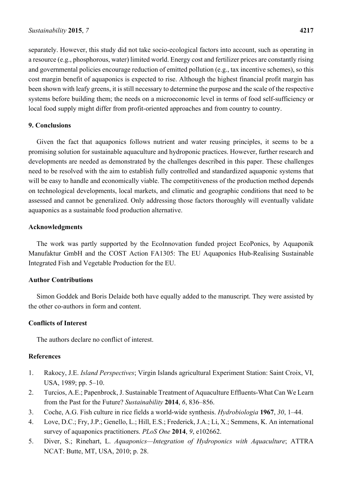separately. However, this study did not take socio-ecological factors into account, such as operating in a resource (e.g., phosphorous, water) limited world. Energy cost and fertilizer prices are constantly rising and governmental policies encourage reduction of emitted pollution (e.g., tax incentive schemes), so this cost margin benefit of aquaponics is expected to rise. Although the highest financial profit margin has been shown with leafy greens, it is still necessary to determine the purpose and the scale of the respective systems before building them; the needs on a microeconomic level in terms of food self-sufficiency or local food supply might differ from profit-oriented approaches and from country to country.

# **9. Conclusions**

Given the fact that aquaponics follows nutrient and water reusing principles, it seems to be a promising solution for sustainable aquaculture and hydroponic practices. However, further research and developments are needed as demonstrated by the challenges described in this paper. These challenges need to be resolved with the aim to establish fully controlled and standardized aquaponic systems that will be easy to handle and economically viable. The competitiveness of the production method depends on technological developments, local markets, and climatic and geographic conditions that need to be assessed and cannot be generalized. Only addressing those factors thoroughly will eventually validate aquaponics as a sustainable food production alternative.

#### **Acknowledgments**

The work was partly supported by the EcoInnovation funded project EcoPonics, by Aquaponik Manufaktur GmbH and the COST Action FA1305: The EU Aquaponics Hub-Realising Sustainable Integrated Fish and Vegetable Production for the EU.

# **Author Contributions**

Simon Goddek and Boris Delaide both have equally added to the manuscript. They were assisted by the other co-authors in form and content.

# **Conflicts of Interest**

The authors declare no conflict of interest.

# **References**

- 1. Rakocy, J.E. *Island Perspectives*; Virgin Islands agricultural Experiment Station: Saint Croix, VI, USA, 1989; pp. 5–10.
- 2. Turcios, A.E.; Papenbrock, J. Sustainable Treatment of Aquaculture Effluents-What Can We Learn from the Past for the Future? *Sustainability* **2014**, *6*, 836–856.
- 3. Coche, A.G. Fish culture in rice fields a world-wide synthesis. *Hydrobiologia* **1967**, *30*, 1–44.
- 4. Love, D.C.; Fry, J.P.; Genello, L.; Hill, E.S.; Frederick, J.A.; Li, X.; Semmens, K. An international survey of aquaponics practitioners. *PLoS One* **2014**, *9*, e102662.
- 5. Diver, S.; Rinehart, L. *Aquaponics—Integration of Hydroponics with Aquaculture*; ATTRA NCAT: Butte, MT, USA, 2010; p. 28.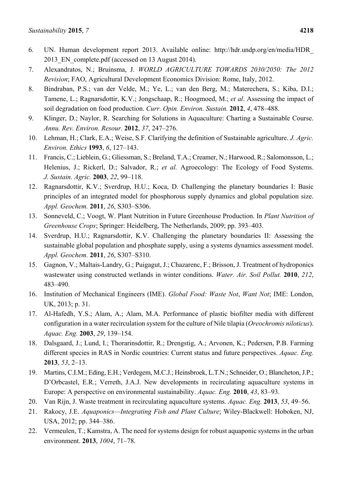- 6. UN. Human development report 2013. Available online: http://hdr.undp.org/en/media/HDR\_ 2013 EN complete.pdf (accessed on 13 August 2014).
- 7. Alexandratos, N.; Bruinsma, J. *WORLD AGRICULTURE TOWARDS 2030/2050: The 2012 Revision*; FAO, Agricultural Development Economics Division: Rome, Italy, 2012.
- 8. Bindraban, P.S.; van der Velde, M.; Ye, L.; van den Berg, M.; Materechera, S.; Kiba, D.I.; Tamene, L.; Ragnarsdottir, K.V.; Jongschaap, R.; Hoogmoed, M.; *et al*. Assessing the impact of soil degradation on food production. *Curr. Opin. Environ. Sustain.* **2012**, *4*, 478–488.
- 9. Klinger, D.; Naylor, R. Searching for Solutions in Aquaculture: Charting a Sustainable Course. *Annu. Rev. Environ. Resour.* **2012**, *37*, 247–276.
- 10. Lehman, H.; Clark, E.A.; Weise, S.F. Clarifying the definition of Sustainable agriculture. *J. Agric. Environ. Ethics* **1993**, *6*, 127–143.
- 11. Francis, C.; Lieblein, G.; Gliessman, S.; Breland, T.A.; Creamer, N.; Harwood, R.; Salomonsson, L.; Helenius, J.; Rickerl, D.; Salvador, R.; *et al.* Agroecology: The Ecology of Food Systems. *J. Sustain. Agric.* **2003**, *22*, 99–118.
- 12. Ragnarsdottir, K.V.; Sverdrup, H.U.; Koca, D. Challenging the planetary boundaries I: Basic principles of an integrated model for phosphorous supply dynamics and global population size. *Appl. Geochem.* **2011**, *26*, S303–S306.
- 13. Sonneveld, C.; Voogt, W. Plant Nutrition in Future Greenhouse Production. In *Plant Nutrition of Greenhouse Crops*; Springer: Heidelberg, The Netherlands, 2009; pp. 393–403.
- 14. Sverdrup, H.U.; Ragnarsdottir, K.V. Challenging the planetary boundaries II: Assessing the sustainable global population and phosphate supply, using a systems dynamics assessment model. *Appl. Geochem.* **2011**, *26*, S307–S310.
- 15. Gagnon, V.; Maltais-Landry, G.; Puigagut, J.; Chazarenc, F.; Brisson, J. Treatment of hydroponics wastewater using constructed wetlands in winter conditions. *Water. Air. Soil Pollut.* **2010**, *212*, 483–490.
- 16. Institution of Mechanical Engineers (IME). *Global Food: Waste Not*, *Want Not*; IME: London, UK, 2013; p. 31.
- 17. Al-Hafedh, Y.S.; Alam, A.; Alam, M.A. Performance of plastic biofilter media with different configuration in a water recirculation system for the culture of Nile tilapia (*Oreochromis niloticus*). *Aquac. Eng.* **2003**, *29*, 139–154.
- 18. Dalsgaard, J.; Lund, I.; Thorarinsdottir, R.; Drengstig, A.; Arvonen, K.; Pedersen, P.B. Farming different species in RAS in Nordic countries: Current status and future perspectives. *Aquac. Eng.* **2013**, *53*, 2–13.
- 19. Martins, C.I.M.; Eding, E.H.; Verdegem, M.C.J.; Heinsbroek, L.T.N.; Schneider, O.; Blancheton, J.P.; D'Orbcastel, E.R.; Verreth, J.A.J. New developments in recirculating aquaculture systems in Europe: A perspective on environmental sustainability. *Aquac. Eng.* **2010**, *43*, 83–93.
- 20. Van Rijn, J. Waste treatment in recirculating aquaculture systems. *Aquac. Eng.* **2013**, *53*, 49–56.
- 21. Rakocy, J.E. *Aquaponics—Integrating Fish and Plant Culture*; Wiley-Blackwell: Hoboken, NJ, USA, 2012; pp. 344–386.
- 22. Vermeulen, T.: Kamstra, A. The need for systems design for robust aquaponic systems in the urban environment. **2013**, *1004*, 71–78.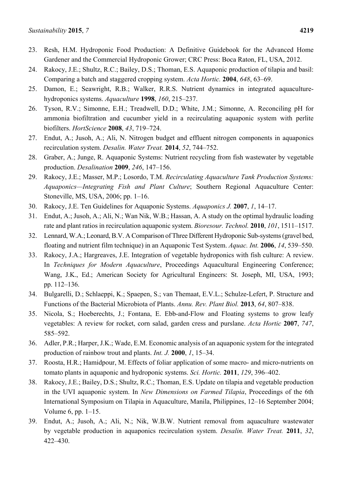- 23. Resh, H.M. Hydroponic Food Production: A Definitive Guidebook for the Advanced Home Gardener and the Commercial Hydroponic Grower; CRC Press: Boca Raton, FL, USA, 2012.
- 24. Rakocy, J.E.; Shultz, R.C.; Bailey, D.S.; Thoman, E.S. Aquaponic production of tilapia and basil: Comparing a batch and staggered cropping system. *Acta Hortic.* **2004**, *648*, 63–69.
- 25. Damon, E.; Seawright, R.B.; Walker, R.R.S. Nutrient dynamics in integrated aquaculturehydroponics systems. *Aquaculture* **1998**, *160*, 215–237.
- 26. Tyson, R.V.; Simonne, E.H.; Treadwell, D.D.; White, J.M.; Simonne, A. Reconciling pH for ammonia biofiltration and cucumber yield in a recirculating aquaponic system with perlite biofilters. *HortScience* **2008**, *43*, 719–724.
- 27. Endut, A.; Jusoh, A.; Ali, N. Nitrogen budget and effluent nitrogen components in aquaponics recirculation system. *Desalin. Water Treat.* **2014**, *52*, 744–752.
- 28. Graber, A.; Junge, R. Aquaponic Systems: Nutrient recycling from fish wastewater by vegetable production. *Desalination* **2009**, *246*, 147–156.
- 29. Rakocy, J.E.; Masser, M.P.; Losordo, T.M. *Recirculating Aquaculture Tank Production Systems: Aquaponics—Integrating Fish and Plant Culture*; Southern Regional Aquaculture Center: Stoneville, MS, USA, 2006; pp. 1–16.
- 30. Rakocy, J.E. Ten Guidelines for Aquaponic Systems. *Aquaponics J.* **2007**, *1*, 14–17.
- 31. Endut, A.; Jusoh, A.; Ali, N.; Wan Nik, W.B.; Hassan, A. A study on the optimal hydraulic loading rate and plant ratios in recirculation aquaponic system. *Bioresour. Technol.* **2010**, *101*, 1511–1517.
- 32. Lennard, W.A.; Leonard, B.V. A Comparison of Three Different Hydroponic Sub-systems (gravel bed, floating and nutrient film technique) in an Aquaponic Test System. *Aquac. Int.* **2006**, *14*, 539–550.
- 33. Rakocy, J.A.; Hargreaves, J.E. Integration of vegetable hydroponics with fish culture: A review. In *Techniques for Modern Aquaculture*, Proceedings Aquacultural Engineering Conference; Wang, J.K., Ed.; American Society for Agricultural Engineers: St. Joseph, MI, USA, 1993; pp. 112–136.
- 34. Bulgarelli, D.; Schlaeppi, K.; Spaepen, S.; van Themaat, E.V.L.; Schulze-Lefert, P. Structure and Functions of the Bacterial Microbiota of Plants. *Annu. Rev. Plant Biol.* **2013**, *64*, 807–838.
- 35. Nicola, S.; Hoeberechts, J.; Fontana, E. Ebb-and-Flow and Floating systems to grow leafy vegetables: A review for rocket, corn salad, garden cress and purslane. *Acta Hortic* **2007**, *747*, 585–592.
- 36. Adler, P.R.; Harper, J.K.; Wade, E.M. Economic analysis of an aquaponic system for the integrated production of rainbow trout and plants. *Int. J.* **2000**, *1*, 15–34.
- 37. Roosta, H.R.; Hamidpour, M. Effects of foliar application of some macro- and micro-nutrients on tomato plants in aquaponic and hydroponic systems. *Sci. Hortic.* **2011**, *129*, 396–402.
- 38. Rakocy, J.E.; Bailey, D.S.; Shultz, R.C.; Thoman, E.S. Update on tilapia and vegetable production in the UVI aquaponic system. In *New Dimensions on Farmed Tilapia*, Proceedings of the 6th International Symposium on Tilapia in Aquaculture, Manila, Philippines, 12–16 September 2004; Volume 6, pp. 1–15.
- 39. Endut, A.; Jusoh, A.; Ali, N.; Nik, W.B.W. Nutrient removal from aquaculture wastewater by vegetable production in aquaponics recirculation system. *Desalin. Water Treat.* **2011**, *32*, 422–430.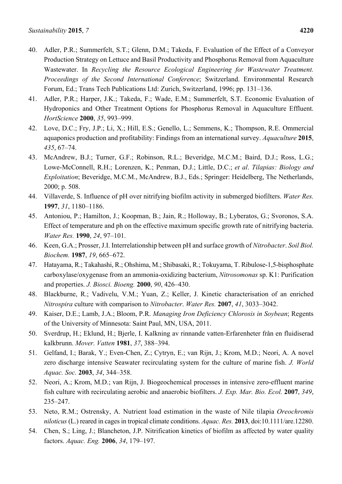- 40. Adler, P.R.; Summerfelt, S.T.; Glenn, D.M.; Takeda, F. Evaluation of the Effect of a Conveyor Production Strategy on Lettuce and Basil Productivity and Phosphorus Removal from Aquaculture Wastewater. In *Recycling the Resource Ecological Engineering for Wastewater Treatment. Proceedings of the Second International Conference*; Switzerland. Environmental Research Forum, Ed.; Trans Tech Publications Ltd: Zurich, Switzerland, 1996; pp. 131–136.
- 41. Adler, P.R.; Harper, J.K.; Takeda, F.; Wade, E.M.; Summerfelt, S.T. Economic Evaluation of Hydroponics and Other Treatment Options for Phosphorus Removal in Aquaculture Effluent. *HortScience* **2000**, *35*, 993–999.
- 42. Love, D.C.; Fry, J.P.; Li, X.; Hill, E.S.; Genello, L.; Semmens, K.; Thompson, R.E. Ommercial aquaponics production and profitability: Findings from an international survey. *Aquaculture* **2015**, *435*, 67–74.
- 43. McAndrew, B.J.; Turner, G.F.; Robinson, R.L.; Beveridge, M.C.M.; Baird, D.J.; Ross, L.G.; Lowe-McConnell, R.H.; Lorenzen, K.; Penman, D.J.; Little, D.C.; *et al*. *Tilapias: Biology and Exploitation*; Beveridge, M.C.M., McAndrew, B.J., Eds.; Springer: Heidelberg, The Netherlands, 2000; p. 508.
- 44. Villaverde, S. Influence of pH over nitrifying biofilm activity in submerged biofilters. *Water Res.* **1997**, *31*, 1180–1186.
- 45. Antoniou, P.; Hamilton, J.; Koopman, B.; Jain, R.; Holloway, B.; Lyberatos, G.; Svoronos, S.A. Effect of temperature and ph on the effective maximum specific growth rate of nitrifying bacteria. *Water Res.* **1990**, *24*, 97–101.
- 46. Keen, G.A.; Prosser, J.I. Interrelationship between pH and surface growth of *Nitrobacter*. *Soil Biol. Biochem.* **1987**, *19*, 665–672.
- 47. Hatayama, R.; Takahashi, R.; Ohshima, M.; Shibasaki, R.; Tokuyama, T. Ribulose-1,5-bisphosphate carboxylase/oxygenase from an ammonia-oxidizing bacterium, *Nitrosomonas* sp. K1: Purification and properties. *J. Biosci. Bioeng.* **2000**, *90*, 426–430.
- 48. Blackburne, R.; Vadivelu, V.M.; Yuan, Z.; Keller, J. Kinetic characterisation of an enriched *Nitrospira* culture with comparison to *Nitrobacter*. *Water Res.* **2007**, *41*, 3033–3042.
- 49. Kaiser, D.E.; Lamb, J.A.; Bloom, P.R. *Managing Iron Deficiency Chlorosis in Soybean*; Regents of the University of Minnesota: Saint Paul, MN, USA, 2011.
- 50. Sverdrup, H.; Eklund, H.; Bjerle, I. Kalkning av rinnande vatten-Erfarenheter från en fluidiserad kalkbrunn. *Mover. Vatten* **1981**, *37*, 388–394.
- 51. Gelfand, I.; Barak, Y.; Even-Chen, Z.; Cytryn, E.; van Rijn, J.; Krom, M.D.; Neori, A. A novel zero discharge intensive Seawater recirculating system for the culture of marine fish. *J. World Aquac. Soc.* **2003**, *34*, 344–358.
- 52. Neori, A.; Krom, M.D.; van Rijn, J. Biogeochemical processes in intensive zero-effluent marine fish culture with recirculating aerobic and anaerobic biofilters. *J. Exp. Mar. Bio. Ecol.* **2007**, *349*, 235–247.
- 53. Neto, R.M.; Ostrensky, A. Nutrient load estimation in the waste of Nile tilapia *Oreochromis niloticus* (L.) reared in cages in tropical climate conditions. *Aquac. Res.* **2013**, doi:10.1111/are.12280.
- 54. Chen, S.; Ling, J.; Blancheton, J.P. Nitrification kinetics of biofilm as affected by water quality factors. *Aquac. Eng.* **2006**, *34*, 179–197.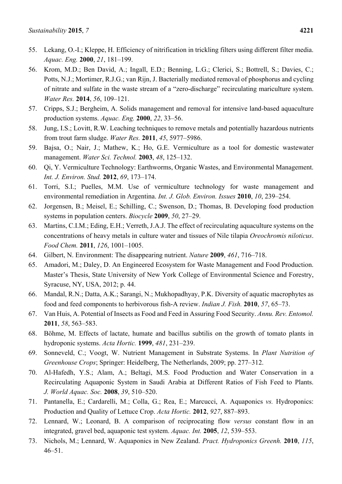- 55. Lekang, O.-I.; Kleppe, H. Efficiency of nitrification in trickling filters using different filter media. *Aquac. Eng.* **2000**, *21*, 181–199.
- 56. Krom, M.D.; Ben David, A.; Ingall, E.D.; Benning, L.G.; Clerici, S.; Bottrell, S.; Davies, C.; Potts, N.J.; Mortimer, R.J.G.; van Rijn, J. Bacterially mediated removal of phosphorus and cycling of nitrate and sulfate in the waste stream of a "zero-discharge" recirculating mariculture system. *Water Res.* **2014**, *56*, 109–121.
- 57. Cripps, S.J.; Bergheim, A. Solids management and removal for intensive land-based aquaculture production systems. *Aquac. Eng.* **2000**, *22*, 33–56.
- 58. Jung, I.S.; Lovitt, R.W. Leaching techniques to remove metals and potentially hazardous nutrients from trout farm sludge. *Water Res.* **2011**, *45*, 5977–5986.
- 59. Bajsa, O.; Nair, J.; Mathew, K.; Ho, G.E. Vermiculture as a tool for domestic wastewater management. *Water Sci. Technol.* **2003**, *48*, 125–132.
- 60. Qi, Y. Vermiculture Technology: Earthworms, Organic Wastes, and Environmental Management. *Int. J. Environ. Stud.* **2012**, *69*, 173–174.
- 61. Torri, S.I.; Puelles, M.M. Use of vermiculture technology for waste management and environmental remediation in Argentina. *Int. J. Glob. Environ. Issues* **2010**, *10*, 239–254.
- 62. Jorgensen, B.; Meisel, E.; Schilling, C.; Swenson, D.; Thomas, B. Developing food production systems in population centers. *Biocycle* **2009**, *50*, 27–29.
- 63. Martins, C.I.M.; Eding, E.H.; Verreth, J.A.J. The effect of recirculating aquaculture systems on the concentrations of heavy metals in culture water and tissues of Nile tilapia *Oreochromis niloticus*. *Food Chem.* **2011**, *126*, 1001–1005.
- 64. Gilbert, N. Environment: The disappearing nutrient. *Nature* **2009**, *461*, 716–718.
- 65. Amadori, M.; Daley, D. An Engineered Ecosystem for Waste Management and Food Production. Master's Thesis, State University of New York College of Environmental Science and Forestry, Syracuse, NY, USA, 2012; p. 44.
- 66. Mandal, R.N.; Datta, A.K.; Sarangi, N.; Mukhopadhyay, P.K. Diversity of aquatic macrophytes as food and feed components to herbivorous fish-A review. *Indian J. Fish.* **2010**, *57*, 65–73.
- 67. Van Huis, A. Potential of Insects as Food and Feed in Assuring Food Security. *Annu. Rev. Entomol.* **2011**, *58*, 563–583.
- 68. Böhme, M. Effects of lactate, humate and bacillus subtilis on the growth of tomato plants in hydroponic systems. *Acta Hortic.* **1999**, *481*, 231–239.
- 69. Sonneveld, C.; Voogt, W. Nutrient Management in Substrate Systems. In *Plant Nutrition of Greenhouse Crops*; Springer: Heidelberg, The Netherlands, 2009; pp. 277–312.
- 70. Al-Hafedh, Y.S.; Alam, A.; Beltagi, M.S. Food Production and Water Conservation in a Recirculating Aquaponic System in Saudi Arabia at Different Ratios of Fish Feed to Plants. *J. World Aquac. Soc.* **2008**, *39*, 510–520.
- 71. Pantanella, E.; Cardarelli, M.; Colla, G.; Rea, E.; Marcucci, A. Aquaponics *vs.* Hydroponics: Production and Quality of Lettuce Crop. *Acta Hortic.* **2012**, *927*, 887–893.
- 72. Lennard, W.; Leonard, B. A comparison of reciprocating flow *versus* constant flow in an integrated, gravel bed, aquaponic test system. *Aquac. Int.* **2005**, *12*, 539–553.
- 73. Nichols, M.; Lennard, W. Aquaponics in New Zealand. *Pract. Hydroponics Greenh.* **2010**, *115*, 46–51.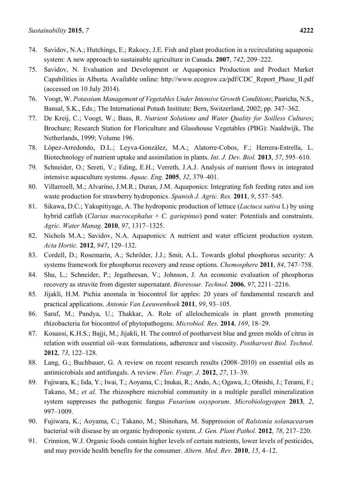- 74. Savidov, N.A.; Hutchings, E.; Rakocy, J.E. Fish and plant production in a recirculating aquaponic system: A new approach to sustainable agriculture in Canada. **2007**, *742*, 209–222.
- 75. Savidov, N. Evaluation and Development or Aquaponics Production and Product Market Capabilities in Alberta. Available online: http://www.ecogrow.ca/pdf/CDC\_Report\_Phase\_II.pdf (accessed on 10 July 2014).
- 76. Voogt, W. *Potassium Management of Vegetables Under Intensive Growth Conditions*; Pasricha, N.S., Bansal, S.K., Eds.; The International Potash Institute: Bern, Switzerland, 2002; pp. 347–362.
- 77. De Kreij, C.; Voogt, W.; Baas, R. *Nutrient Solutions and Water Quality for Soilless Cultures*; Brochure; Research Station for Floriculture and Glasshouse Vegetables (PBG): Naaldwijk, The Netherlands, 1999; Volume 196.
- 78. López-Arredondo, D.L.; Leyva-González, M.A.; Alatorre-Cobos, F.; Herrera-Estrella, L. Biotechnology of nutrient uptake and assimilation in plants. *Int. J. Dev. Biol.* **2013**, *57*, 595–610.
- 79. Schneider, O.; Sereti, V.; Eding, E.H.; Verreth, J.A.J. Analysis of nutrient flows in integrated intensive aquaculture systems. *Aquac. Eng.* **2005**, *32*, 379–401.
- 80. Villarroell, M.; Alvarino, J.M.R.; Duran, J.M. Aquaponics: Integrating fish feeding rates and ion waste production for strawberry hydroponics. *Spanish J. Agric. Res.* **2011**, *9*, 537–545.
- 81. Sikawa, D.C.; Yakupitiyage, A. The hydroponic production of lettuce (*Lactuca sativa* L) by using hybrid catfish (*Clarias macrocephalus* × *C. gariepinus*) pond water: Potentials and constraints. *Agric. Water Manag.* **2010**, *97*, 1317–1325.
- 82. Nichols M.A.; Savidov, N.A. Aquaponics: A nutrient and water efficient production system. *Acta Hortic.* **2012**, *947*, 129–132.
- 83. Cordell, D.; Rosemarin, A.; Schröder, J.J.; Smit, A.L. Towards global phosphorus security: A systems framework for phosphorus recovery and reuse options. *Chemosphere* **2011**, *84*, 747–758.
- 84. Shu, L.; Schneider, P.; Jegatheesan, V.; Johnson, J. An economic evaluation of phosphorus recovery as struvite from digester supernatant. *Bioresour. Technol.* **2006**, *97*, 2211–2216.
- 85. Jijakli, H.M. Pichia anomala in biocontrol for apples: 20 years of fundamental research and practical applications. *Antonie Van Leeuwenhoek* **2011**, *99*, 93–105.
- 86. Saraf, M.; Pandya, U.; Thakkar, A. Role of allelochemicals in plant growth promoting rhizobacteria for biocontrol of phytopathogens. *Microbiol. Res.* **2014**, *169*, 18–29.
- 87. Kouassi, K.H.S.; Bajji, M.; Jijakli, H. The control of postharvest blue and green molds of citrus in relation with essential oil–wax formulations, adherence and viscosity. *Postharvest Biol. Technol.* **2012**, *73*, 122–128.
- 88. Lang, G.; Buchbauer, G. A review on recent research results (2008–2010) on essential oils as antimicrobials and antifungals. A review. *Flav. Fragr. J.* **2012**, *27*, 13–39.
- 89. Fujiwara, K.; Iida, Y.; Iwai, T.; Aoyama, C.; Inukai, R.; Ando, A.; Ogawa, J.; Ohnishi, J.; Terami, F.; Takano, M.; *et al*. The rhizosphere microbial community in a multiple parallel mineralization system suppresses the pathogenic fungus *Fusarium oxysporum*. *Microbiologyopen* **2013**, *2*, 997–1009.
- 90. Fujiwara, K.; Aoyama, C.; Takano, M.; Shinohara, M. Suppression of *Ralstonia solanacearum* bacterial wilt disease by an organic hydroponic system. *J. Gen. Plant Pathol.* **2012**, *78*, 217–220.
- 91. Crinnion, W.J. Organic foods contain higher levels of certain nutrients, lower levels of pesticides, and may provide health benefits for the consumer. *Altern. Med. Rev.* **2010**, *15*, 4–12.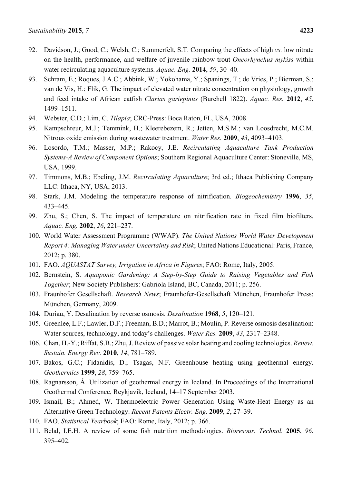- 92. Davidson, J.; Good, C.; Welsh, C.; Summerfelt, S.T. Comparing the effects of high *vs.* low nitrate on the health, performance, and welfare of juvenile rainbow trout *Oncorhynchus mykiss* within water recirculating aquaculture systems. *Aquac. Eng.* **2014**, *59*, 30–40.
- 93. Schram, E.; Roques, J.A.C.; Abbink, W.; Yokohama, Y.; Spanings, T.; de Vries, P.; Bierman, S.; van de Vis, H.; Flik, G. The impact of elevated water nitrate concentration on physiology, growth and feed intake of African catfish *Clarias gariepinus* (Burchell 1822). *Aquac. Res.* **2012**, *45*, 1499–1511.
- 94. Webster, C.D.; Lim, C. *Tilapia*; CRC-Press: Boca Raton, FL, USA, 2008.
- 95. Kampschreur, M.J.; Temmink, H.; Kleerebezem, R.; Jetten, M.S.M.; van Loosdrecht, M.C.M. Nitrous oxide emission during wastewater treatment. *Water Res.* **2009**, *43*, 4093–4103.
- 96. Losordo, T.M.; Masser, M.P.; Rakocy, J.E. *Recirculating Aquaculture Tank Production Systems-A Review of Component Options*; Southern Regional Aquaculture Center: Stoneville, MS, USA, 1999.
- 97. Timmons, M.B.; Ebeling, J.M. *Recirculating Aquaculture*; 3rd ed.; Ithaca Publishing Company LLC: Ithaca, NY, USA, 2013.
- 98. Stark, J.M. Modeling the temperature response of nitrification. *Biogeochemistry* **1996**, *35*, 433–445.
- 99. Zhu, S.; Chen, S. The impact of temperature on nitrification rate in fixed film biofilters. *Aquac. Eng.* **2002**, *26*, 221–237.
- 100. World Water Assessment Programme (WWAP). *The United Nations World Water Development Report 4: Managing Water under Uncertainty and Risk*; United Nations Educational: Paris, France, 2012; p. 380.
- 101. FAO. *AQUASTAT Survey, Irrigation in Africa in Figures*; FAO: Rome, Italy, 2005.
- 102. Bernstein, S. *Aquaponic Gardening: A Step-by-Step Guide to Raising Vegetables and Fish Together*; New Society Publishers: Gabriola Island, BC, Canada, 2011; p. 256.
- 103. Fraunhofer Gesellschaft. *Research News*; Fraunhofer-Gesellschaft München, Fraunhofer Press: München, Germany, 2009.
- 104. Duriau, Y. Desalination by reverse osmosis. *Desalination* **1968**, *5*, 120–121.
- 105. Greenlee, L.F.; Lawler, D.F.; Freeman, B.D.; Marrot, B.; Moulin, P. Reverse osmosis desalination: Water sources, technology, and today's challenges. *Water Res.* **2009**, *43*, 2317–2348.
- 106. Chan, H.-Y.; Riffat, S.B.; Zhu, J. Review of passive solar heating and cooling technologies. *Renew. Sustain. Energy Rev.* **2010**, *14*, 781–789.
- 107. Bakos, G.C.; Fidanidis, D.; Tsagas, N.F. Greenhouse heating using geothermal energy. *Geothermics* **1999**, *28*, 759–765.
- 108. Ragnarsson, Á. Utilization of geothermal energy in Iceland. In Proceedings of the International Geothermal Conference, Reykjavík, Iceland, 14–17 September 2003.
- 109. Ismail, B.; Ahmed, W. Thermoelectric Power Generation Using Waste-Heat Energy as an Alternative Green Technology. *Recent Patents Electr. Eng.* **2009**, *2*, 27–39.
- 110. FAO. *Statistical Yearbook*; FAO: Rome, Italy, 2012; p. 366.
- 111. Belal, I.E.H. A review of some fish nutrition methodologies. *Bioresour. Technol.* **2005**, *96*, 395–402.